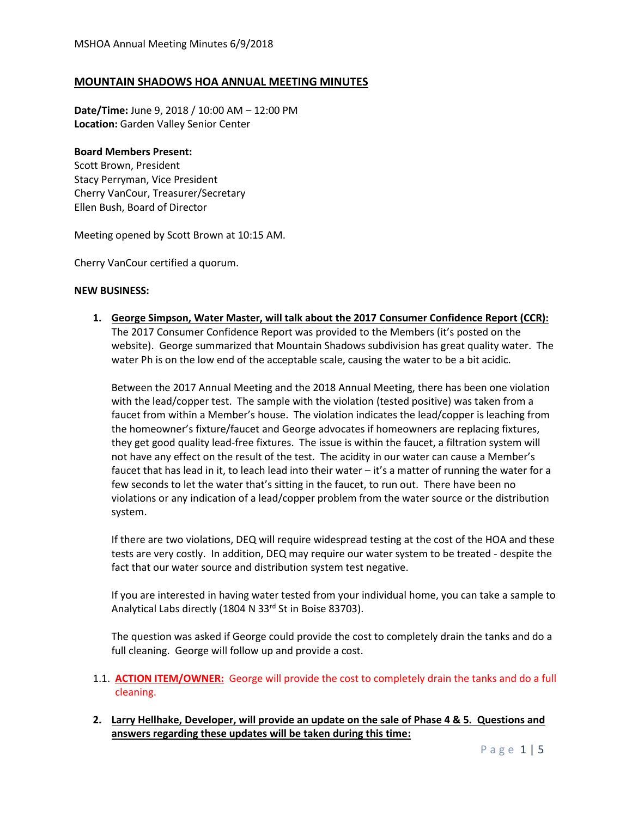# **MOUNTAIN SHADOWS HOA ANNUAL MEETING MINUTES**

**Date/Time:** June 9, 2018 / 10:00 AM – 12:00 PM **Location:** Garden Valley Senior Center

## **Board Members Present:**

Scott Brown, President Stacy Perryman, Vice President Cherry VanCour, Treasurer/Secretary Ellen Bush, Board of Director

Meeting opened by Scott Brown at 10:15 AM.

Cherry VanCour certified a quorum.

## **NEW BUSINESS:**

**1. George Simpson, Water Master, will talk about the 2017 Consumer Confidence Report (CCR):**  The 2017 Consumer Confidence Report was provided to the Members (it's posted on the website). George summarized that Mountain Shadows subdivision has great quality water. The water Ph is on the low end of the acceptable scale, causing the water to be a bit acidic.

Between the 2017 Annual Meeting and the 2018 Annual Meeting, there has been one violation with the lead/copper test. The sample with the violation (tested positive) was taken from a faucet from within a Member's house. The violation indicates the lead/copper is leaching from the homeowner's fixture/faucet and George advocates if homeowners are replacing fixtures, they get good quality lead-free fixtures. The issue is within the faucet, a filtration system will not have any effect on the result of the test. The acidity in our water can cause a Member's faucet that has lead in it, to leach lead into their water – it's a matter of running the water for a few seconds to let the water that's sitting in the faucet, to run out. There have been no violations or any indication of a lead/copper problem from the water source or the distribution system.

If there are two violations, DEQ will require widespread testing at the cost of the HOA and these tests are very costly. In addition, DEQ may require our water system to be treated - despite the fact that our water source and distribution system test negative.

If you are interested in having water tested from your individual home, you can take a sample to Analytical Labs directly (1804 N 33<sup>rd</sup> St in Boise 83703).

The question was asked if George could provide the cost to completely drain the tanks and do a full cleaning. George will follow up and provide a cost.

- 1.1. **ACTION ITEM/OWNER:** George will provide the cost to completely drain the tanks and do a full cleaning.
- **2. Larry Hellhake, Developer, will provide an update on the sale of Phase 4 & 5. Questions and answers regarding these updates will be taken during this time:**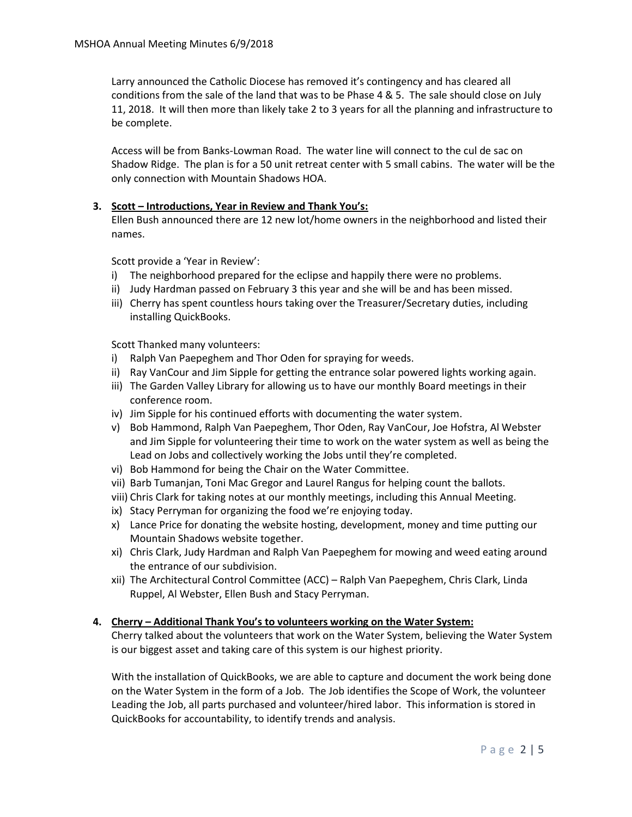Larry announced the Catholic Diocese has removed it's contingency and has cleared all conditions from the sale of the land that was to be Phase 4 & 5. The sale should close on July 11, 2018. It will then more than likely take 2 to 3 years for all the planning and infrastructure to be complete.

Access will be from Banks-Lowman Road. The water line will connect to the cul de sac on Shadow Ridge. The plan is for a 50 unit retreat center with 5 small cabins. The water will be the only connection with Mountain Shadows HOA.

## **3. Scott – Introductions, Year in Review and Thank You's:**

Ellen Bush announced there are 12 new lot/home owners in the neighborhood and listed their names.

Scott provide a 'Year in Review':

- i) The neighborhood prepared for the eclipse and happily there were no problems.
- ii) Judy Hardman passed on February 3 this year and she will be and has been missed.
- iii) Cherry has spent countless hours taking over the Treasurer/Secretary duties, including installing QuickBooks.

Scott Thanked many volunteers:

- i) Ralph Van Paepeghem and Thor Oden for spraying for weeds.
- ii) Ray VanCour and Jim Sipple for getting the entrance solar powered lights working again.
- iii) The Garden Valley Library for allowing us to have our monthly Board meetings in their conference room.
- iv) Jim Sipple for his continued efforts with documenting the water system.
- v) Bob Hammond, Ralph Van Paepeghem, Thor Oden, Ray VanCour, Joe Hofstra, Al Webster and Jim Sipple for volunteering their time to work on the water system as well as being the Lead on Jobs and collectively working the Jobs until they're completed.
- vi) Bob Hammond for being the Chair on the Water Committee.
- vii) Barb Tumanjan, Toni Mac Gregor and Laurel Rangus for helping count the ballots.
- viii) Chris Clark for taking notes at our monthly meetings, including this Annual Meeting.
- ix) Stacy Perryman for organizing the food we're enjoying today.
- x) Lance Price for donating the website hosting, development, money and time putting our Mountain Shadows website together.
- xi) Chris Clark, Judy Hardman and Ralph Van Paepeghem for mowing and weed eating around the entrance of our subdivision.
- xii) The Architectural Control Committee (ACC) Ralph Van Paepeghem, Chris Clark, Linda Ruppel, Al Webster, Ellen Bush and Stacy Perryman.

#### **4. Cherry – Additional Thank You's to volunteers working on the Water System:**

Cherry talked about the volunteers that work on the Water System, believing the Water System is our biggest asset and taking care of this system is our highest priority.

With the installation of QuickBooks, we are able to capture and document the work being done on the Water System in the form of a Job. The Job identifies the Scope of Work, the volunteer Leading the Job, all parts purchased and volunteer/hired labor. This information is stored in QuickBooks for accountability, to identify trends and analysis.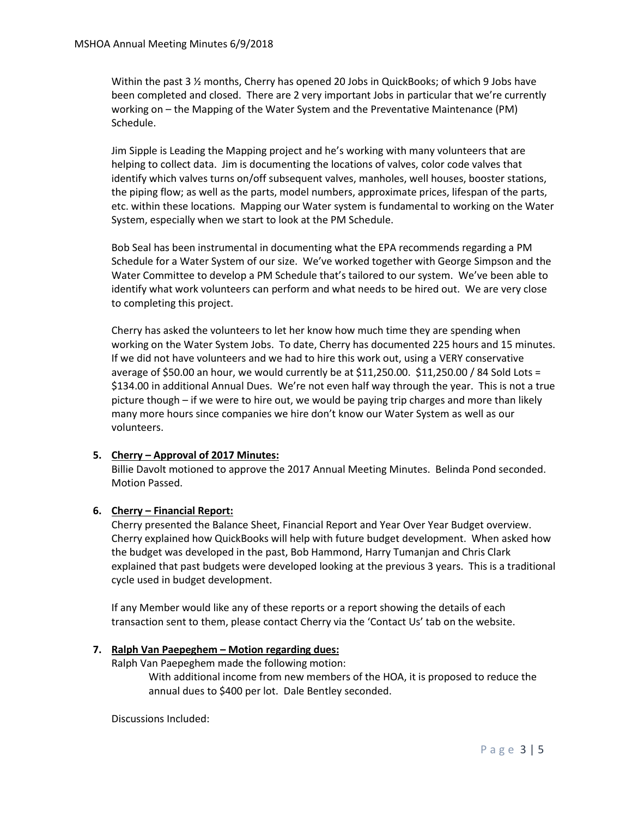Within the past 3 ½ months, Cherry has opened 20 Jobs in QuickBooks; of which 9 Jobs have been completed and closed. There are 2 very important Jobs in particular that we're currently working on – the Mapping of the Water System and the Preventative Maintenance (PM) Schedule.

Jim Sipple is Leading the Mapping project and he's working with many volunteers that are helping to collect data. Jim is documenting the locations of valves, color code valves that identify which valves turns on/off subsequent valves, manholes, well houses, booster stations, the piping flow; as well as the parts, model numbers, approximate prices, lifespan of the parts, etc. within these locations. Mapping our Water system is fundamental to working on the Water System, especially when we start to look at the PM Schedule.

Bob Seal has been instrumental in documenting what the EPA recommends regarding a PM Schedule for a Water System of our size. We've worked together with George Simpson and the Water Committee to develop a PM Schedule that's tailored to our system. We've been able to identify what work volunteers can perform and what needs to be hired out. We are very close to completing this project.

Cherry has asked the volunteers to let her know how much time they are spending when working on the Water System Jobs. To date, Cherry has documented 225 hours and 15 minutes. If we did not have volunteers and we had to hire this work out, using a VERY conservative average of \$50.00 an hour, we would currently be at \$11,250.00. \$11,250.00 / 84 Sold Lots = \$134.00 in additional Annual Dues. We're not even half way through the year. This is not a true picture though – if we were to hire out, we would be paying trip charges and more than likely many more hours since companies we hire don't know our Water System as well as our volunteers.

## **5. Cherry – Approval of 2017 Minutes:**

Billie Davolt motioned to approve the 2017 Annual Meeting Minutes. Belinda Pond seconded. Motion Passed.

## **6. Cherry – Financial Report:**

Cherry presented the Balance Sheet, Financial Report and Year Over Year Budget overview. Cherry explained how QuickBooks will help with future budget development. When asked how the budget was developed in the past, Bob Hammond, Harry Tumanjan and Chris Clark explained that past budgets were developed looking at the previous 3 years. This is a traditional cycle used in budget development.

If any Member would like any of these reports or a report showing the details of each transaction sent to them, please contact Cherry via the 'Contact Us' tab on the website.

#### **7. Ralph Van Paepeghem – Motion regarding dues:**

Ralph Van Paepeghem made the following motion:

With additional income from new members of the HOA, it is proposed to reduce the annual dues to \$400 per lot. Dale Bentley seconded.

Discussions Included: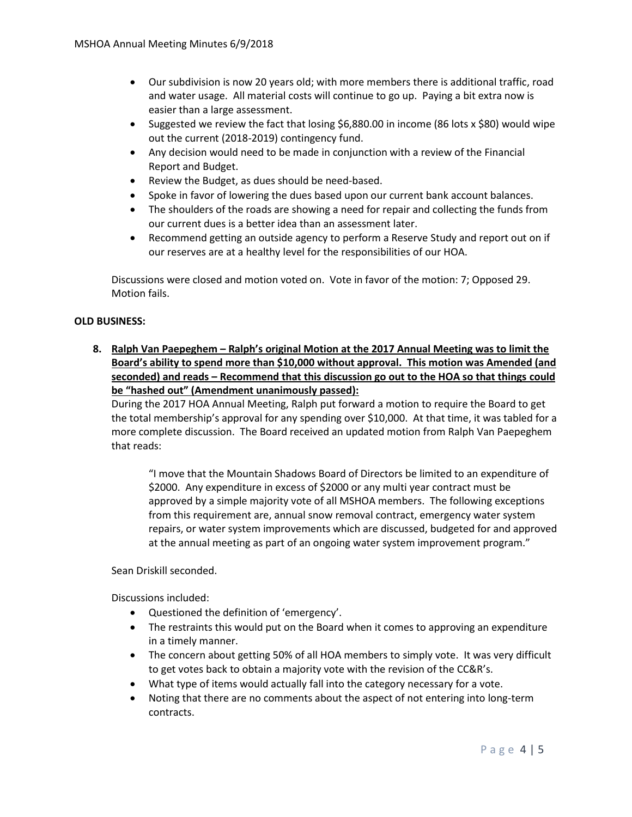- Our subdivision is now 20 years old; with more members there is additional traffic, road and water usage. All material costs will continue to go up. Paying a bit extra now is easier than a large assessment.
- Suggested we review the fact that losing \$6,880.00 in income (86 lots x \$80) would wipe out the current (2018-2019) contingency fund.
- Any decision would need to be made in conjunction with a review of the Financial Report and Budget.
- Review the Budget, as dues should be need-based.
- Spoke in favor of lowering the dues based upon our current bank account balances.
- The shoulders of the roads are showing a need for repair and collecting the funds from our current dues is a better idea than an assessment later.
- Recommend getting an outside agency to perform a Reserve Study and report out on if our reserves are at a healthy level for the responsibilities of our HOA.

Discussions were closed and motion voted on. Vote in favor of the motion: 7; Opposed 29. Motion fails.

## **OLD BUSINESS:**

**8. Ralph Van Paepeghem – Ralph's original Motion at the 2017 Annual Meeting was to limit the Board's ability to spend more than \$10,000 without approval. This motion was Amended (and seconded) and reads – Recommend that this discussion go out to the HOA so that things could be "hashed out" (Amendment unanimously passed):**

During the 2017 HOA Annual Meeting, Ralph put forward a motion to require the Board to get the total membership's approval for any spending over \$10,000. At that time, it was tabled for a more complete discussion. The Board received an updated motion from Ralph Van Paepeghem that reads:

"I move that the Mountain Shadows Board of Directors be limited to an expenditure of \$2000. Any expenditure in excess of \$2000 or any multi year contract must be approved by a simple majority vote of all MSHOA members. The following exceptions from this requirement are, annual snow removal contract, emergency water system repairs, or water system improvements which are discussed, budgeted for and approved at the annual meeting as part of an ongoing water system improvement program."

Sean Driskill seconded.

Discussions included:

- Questioned the definition of 'emergency'.
- The restraints this would put on the Board when it comes to approving an expenditure in a timely manner.
- The concern about getting 50% of all HOA members to simply vote. It was very difficult to get votes back to obtain a majority vote with the revision of the CC&R's.
- What type of items would actually fall into the category necessary for a vote.
- Noting that there are no comments about the aspect of not entering into long-term contracts.